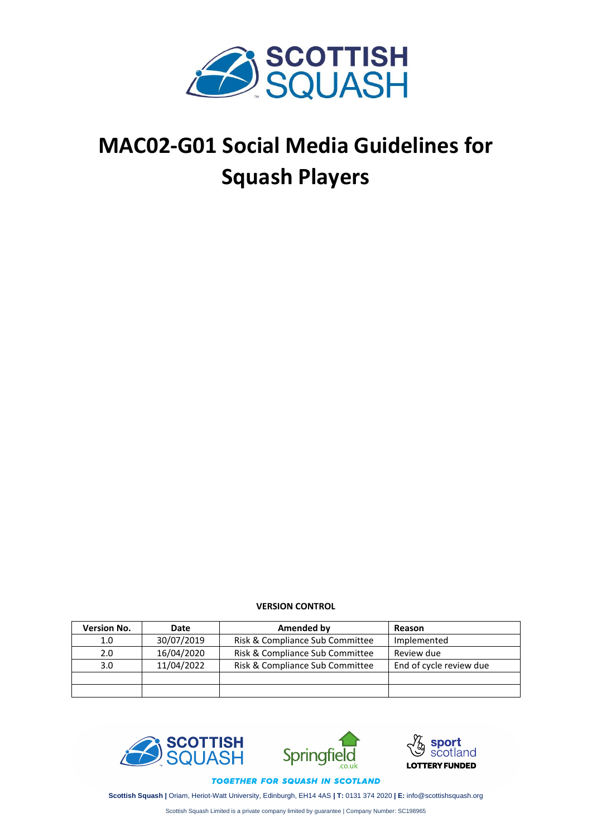

# **MAC02-G01 Social Media Guidelines for Squash Players**

**VERSION CONTROL**

| <b>Version No.</b> | Date       | Amended by                      | Reason                  |
|--------------------|------------|---------------------------------|-------------------------|
| 1.0                | 30/07/2019 | Risk & Compliance Sub Committee | Implemented             |
| 2.0                | 16/04/2020 | Risk & Compliance Sub Committee | Review due              |
| 3.0                | 11/04/2022 | Risk & Compliance Sub Committee | End of cycle review due |
|                    |            |                                 |                         |
|                    |            |                                 |                         |





TOGETHER FOR SQUASH IN SCOTLAND

**Scottish Squash |** Oriam, Heriot-Watt University, Edinburgh, EH14 4AS **| T:** 0131 374 2020 **| E:** info@scottishsquash.org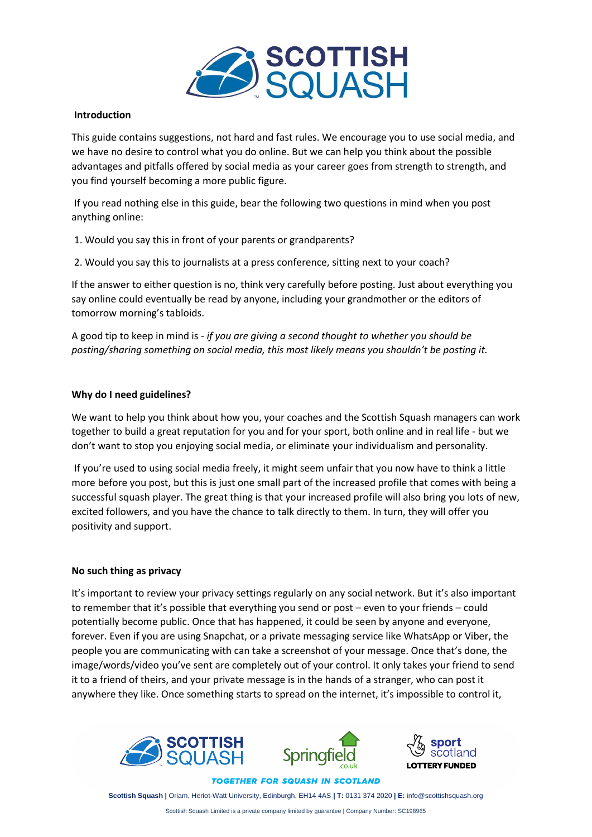

## **Introduction**

This guide contains suggestions, not hard and fast rules. We encourage you to use social media, and we have no desire to control what you do online. But we can help you think about the possible advantages and pitfalls offered by social media as your career goes from strength to strength, and you find yourself becoming a more public figure.

If you read nothing else in this guide, bear the following two questions in mind when you post anything online:

1. Would you say this in front of your parents or grandparents?

2. Would you say this to journalists at a press conference, sitting next to your coach?

If the answer to either question is no, think very carefully before posting. Just about everything you say online could eventually be read by anyone, including your grandmother or the editors of tomorrow morning's tabloids.

A good tip to keep in mind is *- if you are giving a second thought to whether you should be posting/sharing something on social media, this most likely means you shouldn't be posting it.*

## **Why do I need guidelines?**

We want to help you think about how you, your coaches and the Scottish Squash managers can work together to build a great reputation for you and for your sport, both online and in real life - but we don't want to stop you enjoying social media, or eliminate your individualism and personality.

If you're used to using social media freely, it might seem unfair that you now have to think a little more before you post, but this is just one small part of the increased profile that comes with being a successful squash player. The great thing is that your increased profile will also bring you lots of new, excited followers, and you have the chance to talk directly to them. In turn, they will offer you positivity and support.

## **No such thing as privacy**

It's important to review your privacy settings regularly on any social network. But it's also important to remember that it's possible that everything you send or post – even to your friends – could potentially become public. Once that has happened, it could be seen by anyone and everyone, forever. Even if you are using Snapchat, or a private messaging service like WhatsApp or Viber, the people you are communicating with can take a screenshot of your message. Once that's done, the image/words/video you've sent are completely out of your control. It only takes your friend to send it to a friend of theirs, and your private message is in the hands of a stranger, who can post it anywhere they like. Once something starts to spread on the internet, it's impossible to control it,







**TOGETHER FOR SQUASH IN SCOTLAND** 

**Scottish Squash |** Oriam, Heriot-Watt University, Edinburgh, EH14 4AS **| T:** 0131 374 2020 **| E:** info@scottishsquash.org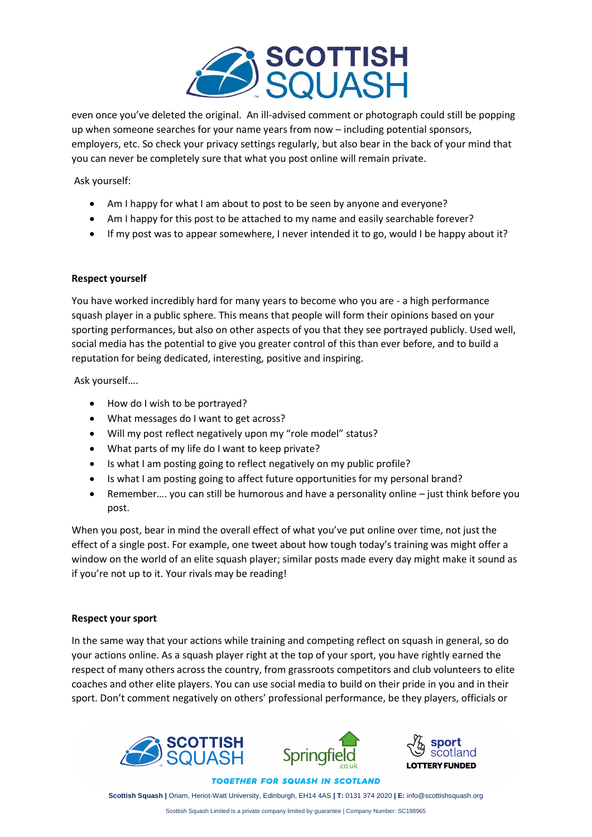

even once you've deleted the original. An ill-advised comment or photograph could still be popping up when someone searches for your name years from now – including potential sponsors, employers, etc. So check your privacy settings regularly, but also bear in the back of your mind that you can never be completely sure that what you post online will remain private.

Ask yourself:

- Am I happy for what I am about to post to be seen by anyone and everyone?
- Am I happy for this post to be attached to my name and easily searchable forever?
- If my post was to appear somewhere, I never intended it to go, would I be happy about it?

## **Respect yourself**

You have worked incredibly hard for many years to become who you are - a high performance squash player in a public sphere. This means that people will form their opinions based on your sporting performances, but also on other aspects of you that they see portrayed publicly. Used well, social media has the potential to give you greater control of this than ever before, and to build a reputation for being dedicated, interesting, positive and inspiring.

Ask yourself….

- How do I wish to be portrayed?
- What messages do I want to get across?
- Will my post reflect negatively upon my "role model" status?
- What parts of my life do I want to keep private?
- Is what I am posting going to reflect negatively on my public profile?
- Is what I am posting going to affect future opportunities for my personal brand?
- Remember.... you can still be humorous and have a personality online just think before you post.

When you post, bear in mind the overall effect of what you've put online over time, not just the effect of a single post. For example, one tweet about how tough today's training was might offer a window on the world of an elite squash player; similar posts made every day might make it sound as if you're not up to it. Your rivals may be reading!

## **Respect your sport**

In the same way that your actions while training and competing reflect on squash in general, so do your actions online. As a squash player right at the top of your sport, you have rightly earned the respect of many others across the country, from grassroots competitors and club volunteers to elite coaches and other elite players. You can use social media to build on their pride in you and in their sport. Don't comment negatively on others' professional performance, be they players, officials or







**TOGETHER FOR SQUASH IN SCOTLAND** 

**Scottish Squash |** Oriam, Heriot-Watt University, Edinburgh, EH14 4AS **| T:** 0131 374 2020 **| E:** info@scottishsquash.org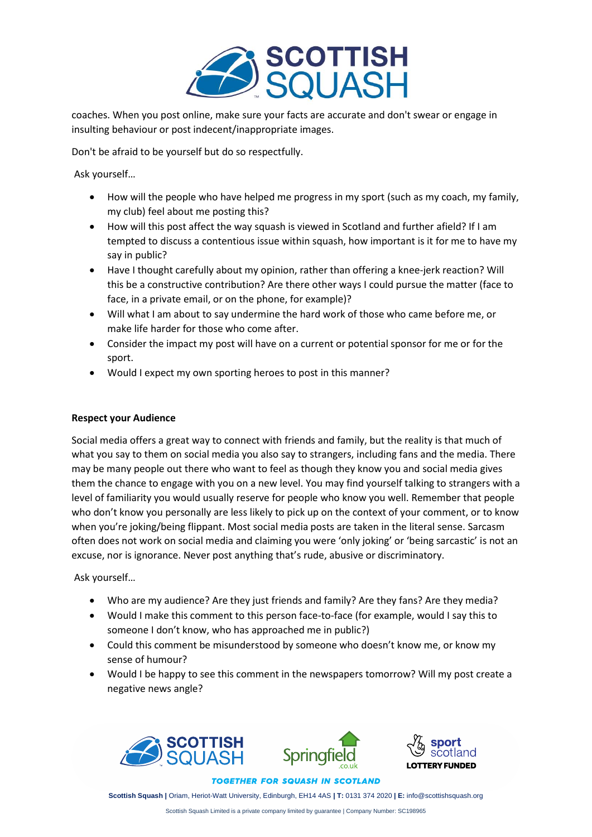

coaches. When you post online, make sure your facts are accurate and don't swear or engage in insulting behaviour or post indecent/inappropriate images.

Don't be afraid to be yourself but do so respectfully.

Ask yourself…

- How will the people who have helped me progress in my sport (such as my coach, my family, my club) feel about me posting this?
- How will this post affect the way squash is viewed in Scotland and further afield? If I am tempted to discuss a contentious issue within squash, how important is it for me to have my say in public?
- Have I thought carefully about my opinion, rather than offering a knee-jerk reaction? Will this be a constructive contribution? Are there other ways I could pursue the matter (face to face, in a private email, or on the phone, for example)?
- Will what I am about to say undermine the hard work of those who came before me, or make life harder for those who come after.
- Consider the impact my post will have on a current or potential sponsor for me or for the sport.
- Would I expect my own sporting heroes to post in this manner?

## **Respect your Audience**

Social media offers a great way to connect with friends and family, but the reality is that much of what you say to them on social media you also say to strangers, including fans and the media. There may be many people out there who want to feel as though they know you and social media gives them the chance to engage with you on a new level. You may find yourself talking to strangers with a level of familiarity you would usually reserve for people who know you well. Remember that people who don't know you personally are less likely to pick up on the context of your comment, or to know when you're joking/being flippant. Most social media posts are taken in the literal sense. Sarcasm often does not work on social media and claiming you were 'only joking' or 'being sarcastic' is not an excuse, nor is ignorance. Never post anything that's rude, abusive or discriminatory.

Ask yourself…

- Who are my audience? Are they just friends and family? Are they fans? Are they media?
- Would I make this comment to this person face-to-face (for example, would I say this to someone I don't know, who has approached me in public?)
- Could this comment be misunderstood by someone who doesn't know me, or know my sense of humour?
- Would I be happy to see this comment in the newspapers tomorrow? Will my post create a negative news angle?







**TOGETHER FOR SQUASH IN SCOTLAND** 

**Scottish Squash |** Oriam, Heriot-Watt University, Edinburgh, EH14 4AS **| T:** 0131 374 2020 **| E:** info@scottishsquash.org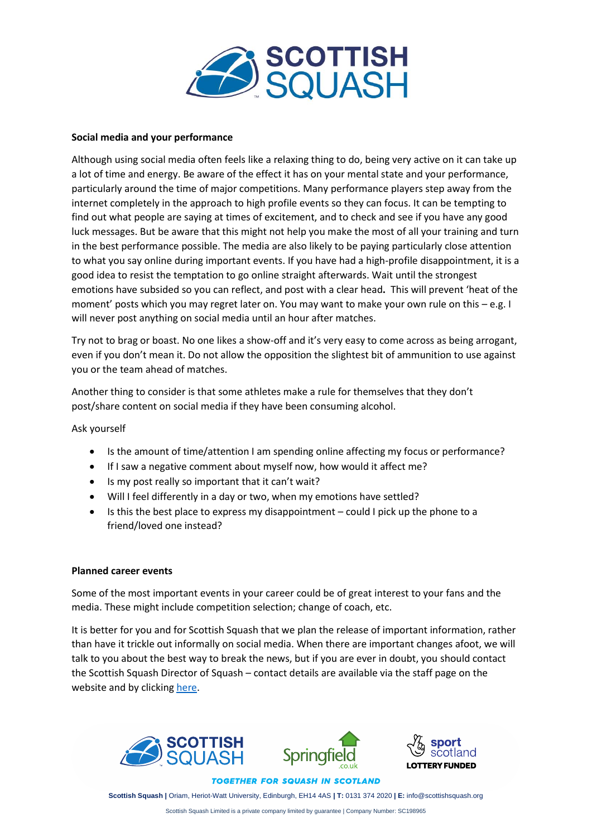

## **Social media and your performance**

Although using social media often feels like a relaxing thing to do, being very active on it can take up a lot of time and energy. Be aware of the effect it has on your mental state and your performance, particularly around the time of major competitions. Many performance players step away from the internet completely in the approach to high profile events so they can focus. It can be tempting to find out what people are saying at times of excitement, and to check and see if you have any good luck messages. But be aware that this might not help you make the most of all your training and turn in the best performance possible. The media are also likely to be paying particularly close attention to what you say online during important events. If you have had a high-profile disappointment, it is a good idea to resist the temptation to go online straight afterwards. Wait until the strongest emotions have subsided so you can reflect, and post with a clear head**.** This will prevent 'heat of the moment' posts which you may regret later on. You may want to make your own rule on this – e.g. I will never post anything on social media until an hour after matches.

Try not to brag or boast. No one likes a show-off and it's very easy to come across as being arrogant, even if you don't mean it. Do not allow the opposition the slightest bit of ammunition to use against you or the team ahead of matches.

Another thing to consider is that some athletes make a rule for themselves that they don't post/share content on social media if they have been consuming alcohol.

Ask yourself

- Is the amount of time/attention I am spending online affecting my focus or performance?
- If I saw a negative comment about myself now, how would it affect me?
- Is my post really so important that it can't wait?
- Will I feel differently in a day or two, when my emotions have settled?
- Is this the best place to express my disappointment could I pick up the phone to a friend/loved one instead?

## **Planned career events**

Some of the most important events in your career could be of great interest to your fans and the media. These might include competition selection; change of coach, etc.

It is better for you and for Scottish Squash that we plan the release of important information, rather than have it trickle out informally on social media. When there are important changes afoot, we will talk to you about the best way to break the news, but if you are ever in doubt, you should contact the Scottish Squash Director of Squash – contact details are available via the staff page on the website and by clickin[g here.](https://www.scottishsquash.org/staff/)





**TOGETHER FOR SQUASH IN SCOTLAND** 

**Scottish Squash |** Oriam, Heriot-Watt University, Edinburgh, EH14 4AS **| T:** 0131 374 2020 **| E:** info@scottishsquash.org